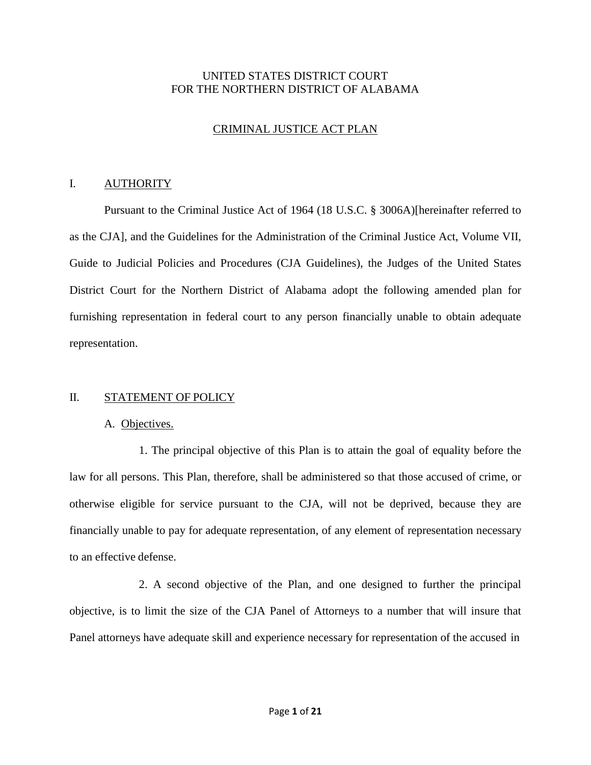## UNITED STATES DISTRICT COURT FOR THE NORTHERN DISTRICT OF ALABAMA

# CRIMINAL JUSTICE ACT PLAN

### I. AUTHORITY

Pursuant to the Criminal Justice Act of 1964 (18 U.S.C. § 3006A)[hereinafter referred to as the CJA], and the Guidelines for the Administration of the Criminal Justice Act, Volume VII, Guide to Judicial Policies and Procedures (CJA Guidelines), the Judges of the United States District Court for the Northern District of Alabama adopt the following amended plan for furnishing representation in federal court to any person financially unable to obtain adequate representation.

## II. STATEMENT OF POLICY

## A. Objectives.

1. The principal objective of this Plan is to attain the goal of equality before the law for all persons. This Plan, therefore, shall be administered so that those accused of crime, or otherwise eligible for service pursuant to the CJA, will not be deprived, because they are financially unable to pay for adequate representation, of any element of representation necessary to an effective defense.

2. A second objective of the Plan, and one designed to further the principal objective, is to limit the size of the CJA Panel of Attorneys to a number that will insure that Panel attorneys have adequate skill and experience necessary for representation of the accused in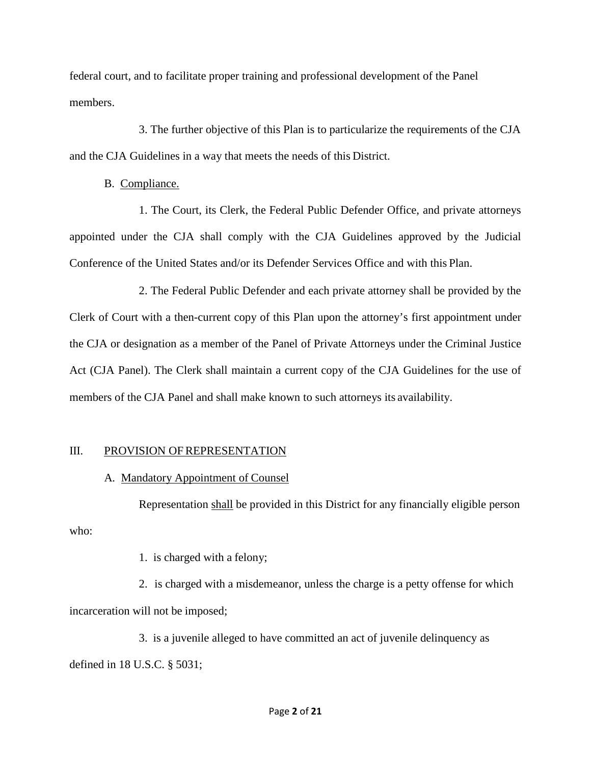federal court, and to facilitate proper training and professional development of the Panel members.

3. The further objective of this Plan is to particularize the requirements of the CJA and the CJA Guidelines in a way that meets the needs of this District.

B. Compliance.

1. The Court, its Clerk, the Federal Public Defender Office, and private attorneys appointed under the CJA shall comply with the CJA Guidelines approved by the Judicial Conference of the United States and/or its Defender Services Office and with this Plan.

2. The Federal Public Defender and each private attorney shall be provided by the Clerk of Court with a then-current copy of this Plan upon the attorney's first appointment under the CJA or designation as a member of the Panel of Private Attorneys under the Criminal Justice Act (CJA Panel). The Clerk shall maintain a current copy of the CJA Guidelines for the use of members of the CJA Panel and shall make known to such attorneys its availability.

# III. PROVISION OF REPRESENTATION

A. Mandatory Appointment of Counsel

Representation shall be provided in this District for any financially eligible person who:

1. is charged with a felony;

2. is charged with a misdemeanor, unless the charge is a petty offense for which incarceration will not be imposed;

3. is a juvenile alleged to have committed an act of juvenile delinquency as defined in 18 U.S.C. § 5031;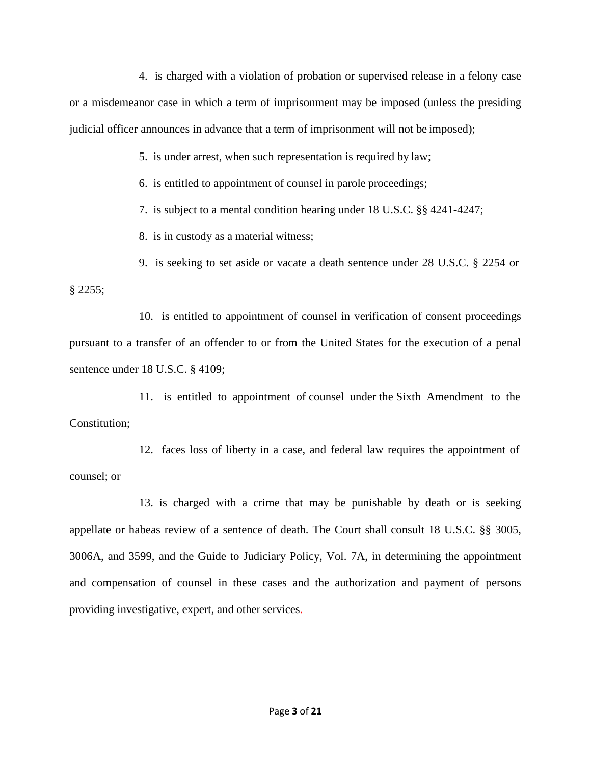4. is charged with a violation of probation or supervised release in a felony case or a misdemeanor case in which a term of imprisonment may be imposed (unless the presiding judicial officer announces in advance that a term of imprisonment will not be imposed);

5. is under arrest, when such representation is required by law;

6. is entitled to appointment of counsel in parole proceedings;

7. is subject to a mental condition hearing under 18 U.S.C. §§ 4241-4247;

8. is in custody as a material witness;

9. is seeking to set aside or vacate a death sentence under 28 U.S.C. § 2254 or § 2255;

10. is entitled to appointment of counsel in verification of consent proceedings pursuant to a transfer of an offender to or from the United States for the execution of a penal sentence under 18 U.S.C. § 4109;

11. is entitled to appointment of counsel under the Sixth Amendment to the Constitution;

12. faces loss of liberty in a case, and federal law requires the appointment of counsel; or

13. is charged with a crime that may be punishable by death or is seeking appellate or habeas review of a sentence of death. The Court shall consult 18 U.S.C. §§ 3005, 3006A, and 3599, and the Guide to Judiciary Policy, Vol. 7A, in determining the appointment and compensation of counsel in these cases and the authorization and payment of persons providing investigative, expert, and other services.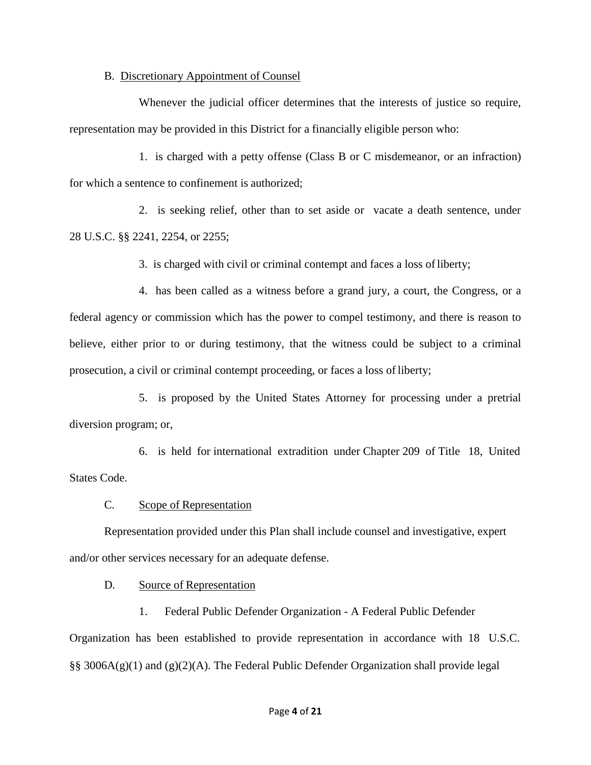#### B. Discretionary Appointment of Counsel

Whenever the judicial officer determines that the interests of justice so require, representation may be provided in this District for a financially eligible person who:

1. is charged with a petty offense (Class B or C misdemeanor, or an infraction) for which a sentence to confinement is authorized;

2. is seeking relief, other than to set aside or vacate a death sentence, under 28 U.S.C. §§ 2241, 2254, or 2255;

3. is charged with civil or criminal contempt and faces a loss of liberty;

4. has been called as a witness before a grand jury, a court, the Congress, or a federal agency or commission which has the power to compel testimony, and there is reason to believe, either prior to or during testimony, that the witness could be subject to a criminal prosecution, a civil or criminal contempt proceeding, or faces a loss of liberty;

5. is proposed by the United States Attorney for processing under a pretrial diversion program; or,

6. is held for international extradition under Chapter 209 of Title 18, United States Code.

## C. Scope of Representation

Representation provided under this Plan shall include counsel and investigative, expert and/or other services necessary for an adequate defense.

## D. Source of Representation

1. Federal Public Defender Organization - A Federal Public Defender Organization has been established to provide representation in accordance with 18 U.S.C. §§ 3006A(g)(1) and (g)(2)(A). The Federal Public Defender Organization shall provide legal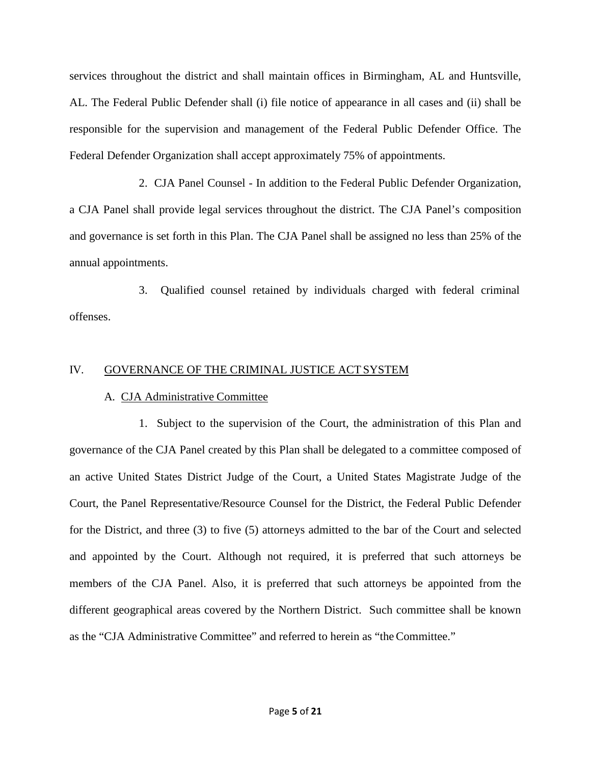services throughout the district and shall maintain offices in Birmingham, AL and Huntsville, AL. The Federal Public Defender shall (i) file notice of appearance in all cases and (ii) shall be responsible for the supervision and management of the Federal Public Defender Office. The Federal Defender Organization shall accept approximately 75% of appointments.

2. CJA Panel Counsel - In addition to the Federal Public Defender Organization, a CJA Panel shall provide legal services throughout the district. The CJA Panel's composition and governance is set forth in this Plan. The CJA Panel shall be assigned no less than 25% of the annual appointments.

3. Qualified counsel retained by individuals charged with federal criminal offenses.

## IV. GOVERNANCE OF THE CRIMINAL JUSTICE ACT SYSTEM

## A. CJA Administrative Committee

1. Subject to the supervision of the Court, the administration of this Plan and governance of the CJA Panel created by this Plan shall be delegated to a committee composed of an active United States District Judge of the Court, a United States Magistrate Judge of the Court, the Panel Representative/Resource Counsel for the District, the Federal Public Defender for the District, and three (3) to five (5) attorneys admitted to the bar of the Court and selected and appointed by the Court. Although not required, it is preferred that such attorneys be members of the CJA Panel. Also, it is preferred that such attorneys be appointed from the different geographical areas covered by the Northern District. Such committee shall be known as the "CJA Administrative Committee" and referred to herein as "theCommittee."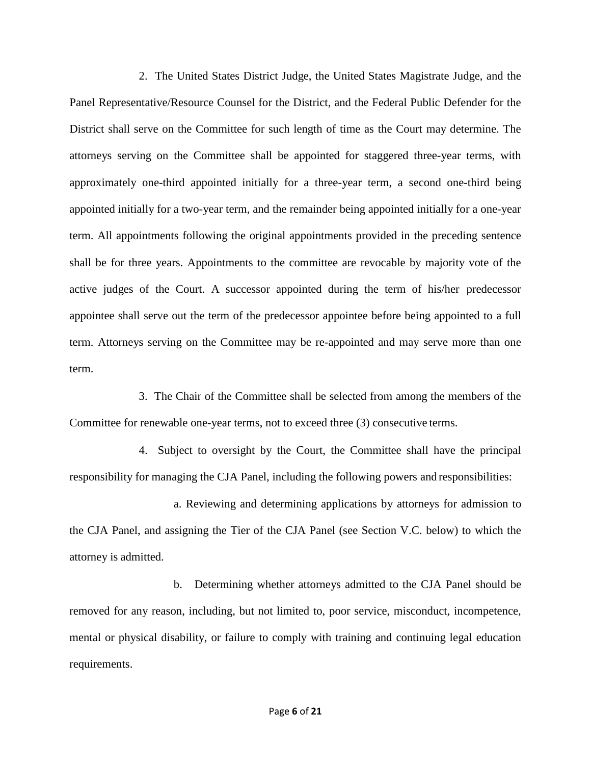2. The United States District Judge, the United States Magistrate Judge, and the Panel Representative/Resource Counsel for the District, and the Federal Public Defender for the District shall serve on the Committee for such length of time as the Court may determine. The attorneys serving on the Committee shall be appointed for staggered three-year terms, with approximately one-third appointed initially for a three-year term, a second one-third being appointed initially for a two-year term, and the remainder being appointed initially for a one-year term. All appointments following the original appointments provided in the preceding sentence shall be for three years. Appointments to the committee are revocable by majority vote of the active judges of the Court. A successor appointed during the term of his/her predecessor appointee shall serve out the term of the predecessor appointee before being appointed to a full term. Attorneys serving on the Committee may be re-appointed and may serve more than one term.

3. The Chair of the Committee shall be selected from among the members of the Committee for renewable one-year terms, not to exceed three (3) consecutive terms.

4. Subject to oversight by the Court, the Committee shall have the principal responsibility for managing the CJA Panel, including the following powers and responsibilities:

a. Reviewing and determining applications by attorneys for admission to the CJA Panel, and assigning the Tier of the CJA Panel (see Section V.C. below) to which the attorney is admitted.

b. Determining whether attorneys admitted to the CJA Panel should be removed for any reason, including, but not limited to, poor service, misconduct, incompetence, mental or physical disability, or failure to comply with training and continuing legal education requirements.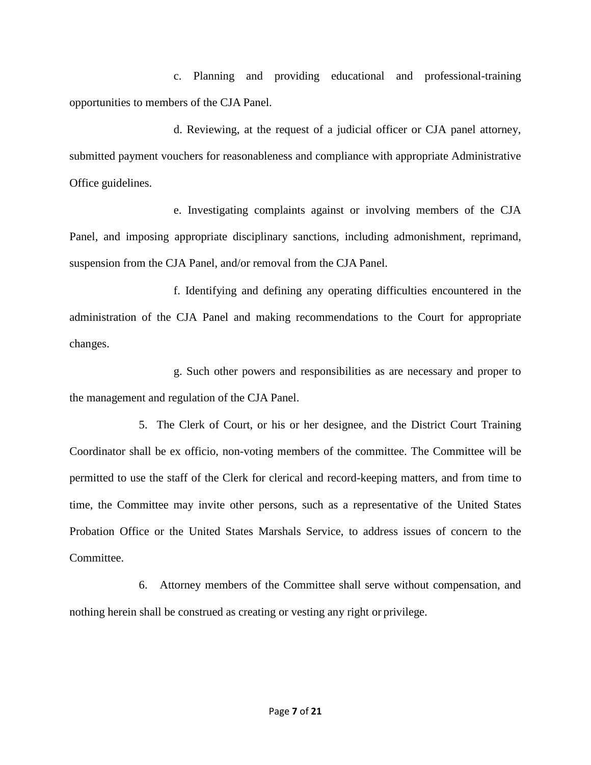c. Planning and providing educational and professional-training opportunities to members of the CJA Panel.

d. Reviewing, at the request of a judicial officer or CJA panel attorney, submitted payment vouchers for reasonableness and compliance with appropriate Administrative Office guidelines.

e. Investigating complaints against or involving members of the CJA Panel, and imposing appropriate disciplinary sanctions, including admonishment, reprimand, suspension from the CJA Panel, and/or removal from the CJA Panel.

f. Identifying and defining any operating difficulties encountered in the administration of the CJA Panel and making recommendations to the Court for appropriate changes.

g. Such other powers and responsibilities as are necessary and proper to the management and regulation of the CJA Panel.

5. The Clerk of Court, or his or her designee, and the District Court Training Coordinator shall be ex officio, non-voting members of the committee. The Committee will be permitted to use the staff of the Clerk for clerical and record-keeping matters, and from time to time, the Committee may invite other persons, such as a representative of the United States Probation Office or the United States Marshals Service, to address issues of concern to the Committee.

6. Attorney members of the Committee shall serve without compensation, and nothing herein shall be construed as creating or vesting any right or privilege.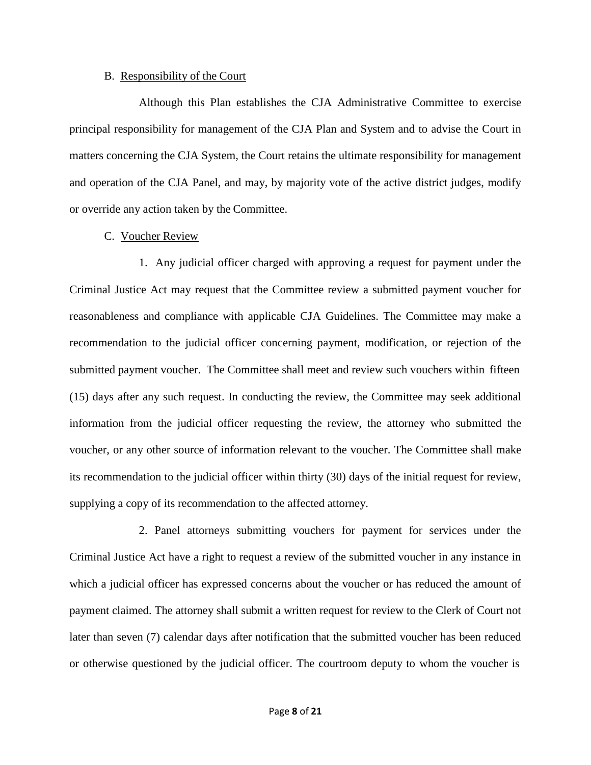#### B. Responsibility of the Court

Although this Plan establishes the CJA Administrative Committee to exercise principal responsibility for management of the CJA Plan and System and to advise the Court in matters concerning the CJA System, the Court retains the ultimate responsibility for management and operation of the CJA Panel, and may, by majority vote of the active district judges, modify or override any action taken by the Committee.

### C. Voucher Review

1. Any judicial officer charged with approving a request for payment under the Criminal Justice Act may request that the Committee review a submitted payment voucher for reasonableness and compliance with applicable CJA Guidelines. The Committee may make a recommendation to the judicial officer concerning payment, modification, or rejection of the submitted payment voucher. The Committee shall meet and review such vouchers within fifteen (15) days after any such request. In conducting the review, the Committee may seek additional information from the judicial officer requesting the review, the attorney who submitted the voucher, or any other source of information relevant to the voucher. The Committee shall make its recommendation to the judicial officer within thirty (30) days of the initial request for review, supplying a copy of its recommendation to the affected attorney.

2. Panel attorneys submitting vouchers for payment for services under the Criminal Justice Act have a right to request a review of the submitted voucher in any instance in which a judicial officer has expressed concerns about the voucher or has reduced the amount of payment claimed. The attorney shall submit a written request for review to the Clerk of Court not later than seven (7) calendar days after notification that the submitted voucher has been reduced or otherwise questioned by the judicial officer. The courtroom deputy to whom the voucher is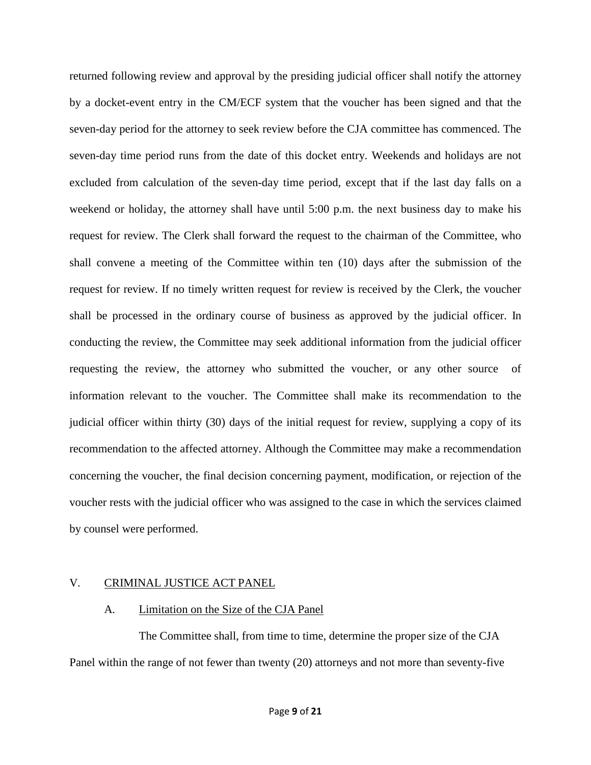returned following review and approval by the presiding judicial officer shall notify the attorney by a docket-event entry in the CM/ECF system that the voucher has been signed and that the seven-day period for the attorney to seek review before the CJA committee has commenced. The seven-day time period runs from the date of this docket entry. Weekends and holidays are not excluded from calculation of the seven-day time period, except that if the last day falls on a weekend or holiday, the attorney shall have until 5:00 p.m. the next business day to make his request for review. The Clerk shall forward the request to the chairman of the Committee, who shall convene a meeting of the Committee within ten (10) days after the submission of the request for review. If no timely written request for review is received by the Clerk, the voucher shall be processed in the ordinary course of business as approved by the judicial officer. In conducting the review, the Committee may seek additional information from the judicial officer requesting the review, the attorney who submitted the voucher, or any other source of information relevant to the voucher. The Committee shall make its recommendation to the judicial officer within thirty (30) days of the initial request for review, supplying a copy of its recommendation to the affected attorney. Although the Committee may make a recommendation concerning the voucher, the final decision concerning payment, modification, or rejection of the voucher rests with the judicial officer who was assigned to the case in which the services claimed by counsel were performed.

## V. CRIMINAL JUSTICE ACT PANEL

#### A. Limitation on the Size of the CJA Panel

The Committee shall, from time to time, determine the proper size of the CJA Panel within the range of not fewer than twenty (20) attorneys and not more than seventy-five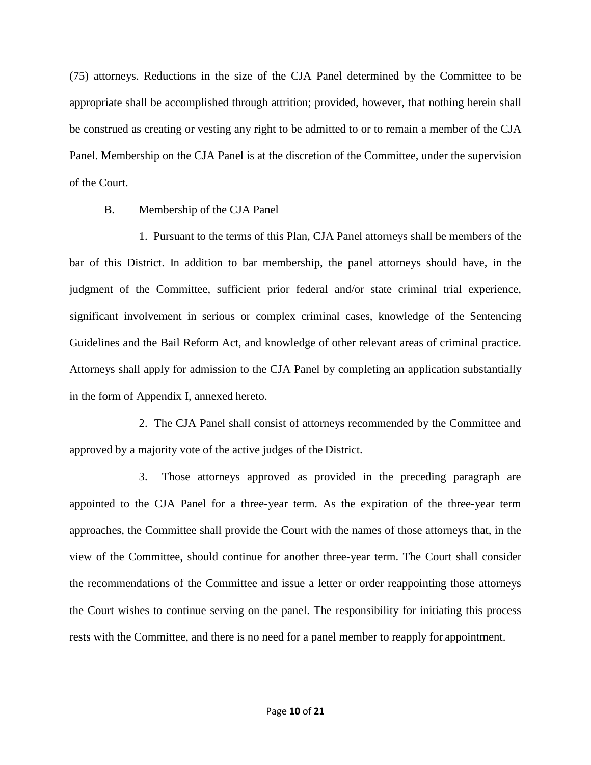(75) attorneys. Reductions in the size of the CJA Panel determined by the Committee to be appropriate shall be accomplished through attrition; provided, however, that nothing herein shall be construed as creating or vesting any right to be admitted to or to remain a member of the CJA Panel. Membership on the CJA Panel is at the discretion of the Committee, under the supervision of the Court.

### B. Membership of the CJA Panel

1. Pursuant to the terms of this Plan, CJA Panel attorneys shall be members of the bar of this District. In addition to bar membership, the panel attorneys should have, in the judgment of the Committee, sufficient prior federal and/or state criminal trial experience, significant involvement in serious or complex criminal cases, knowledge of the Sentencing Guidelines and the Bail Reform Act, and knowledge of other relevant areas of criminal practice. Attorneys shall apply for admission to the CJA Panel by completing an application substantially in the form of Appendix I, annexed hereto.

2. The CJA Panel shall consist of attorneys recommended by the Committee and approved by a majority vote of the active judges of the District.

3. Those attorneys approved as provided in the preceding paragraph are appointed to the CJA Panel for a three-year term. As the expiration of the three-year term approaches, the Committee shall provide the Court with the names of those attorneys that, in the view of the Committee, should continue for another three-year term. The Court shall consider the recommendations of the Committee and issue a letter or order reappointing those attorneys the Court wishes to continue serving on the panel. The responsibility for initiating this process rests with the Committee, and there is no need for a panel member to reapply for appointment.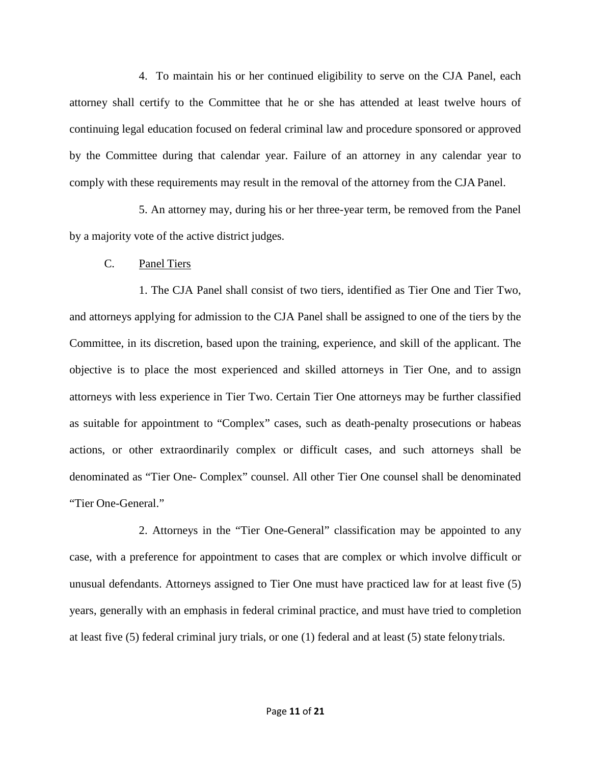4. To maintain his or her continued eligibility to serve on the CJA Panel, each attorney shall certify to the Committee that he or she has attended at least twelve hours of continuing legal education focused on federal criminal law and procedure sponsored or approved by the Committee during that calendar year. Failure of an attorney in any calendar year to comply with these requirements may result in the removal of the attorney from the CJA Panel.

5. An attorney may, during his or her three-year term, be removed from the Panel by a majority vote of the active district judges.

### C. Panel Tiers

1. The CJA Panel shall consist of two tiers, identified as Tier One and Tier Two, and attorneys applying for admission to the CJA Panel shall be assigned to one of the tiers by the Committee, in its discretion, based upon the training, experience, and skill of the applicant. The objective is to place the most experienced and skilled attorneys in Tier One, and to assign attorneys with less experience in Tier Two. Certain Tier One attorneys may be further classified as suitable for appointment to "Complex" cases, such as death-penalty prosecutions or habeas actions, or other extraordinarily complex or difficult cases, and such attorneys shall be denominated as "Tier One- Complex" counsel. All other Tier One counsel shall be denominated "Tier One-General."

2. Attorneys in the "Tier One-General" classification may be appointed to any case, with a preference for appointment to cases that are complex or which involve difficult or unusual defendants. Attorneys assigned to Tier One must have practiced law for at least five (5) years, generally with an emphasis in federal criminal practice, and must have tried to completion at least five (5) federal criminal jury trials, or one (1) federal and at least (5) state felonytrials.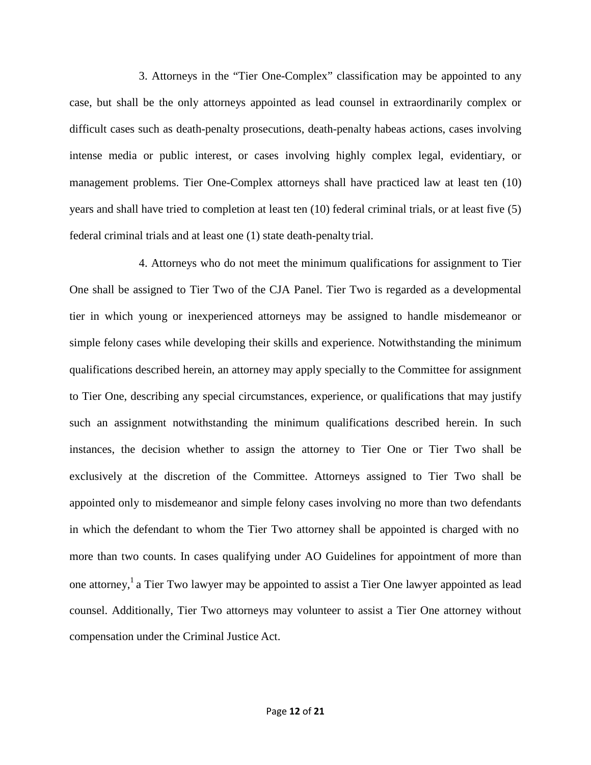3. Attorneys in the "Tier One-Complex" classification may be appointed to any case, but shall be the only attorneys appointed as lead counsel in extraordinarily complex or difficult cases such as death-penalty prosecutions, death-penalty habeas actions, cases involving intense media or public interest, or cases involving highly complex legal, evidentiary, or management problems. Tier One-Complex attorneys shall have practiced law at least ten (10) years and shall have tried to completion at least ten (10) federal criminal trials, or at least five (5) federal criminal trials and at least one (1) state death-penalty trial.

4. Attorneys who do not meet the minimum qualifications for assignment to Tier One shall be assigned to Tier Two of the CJA Panel. Tier Two is regarded as a developmental tier in which young or inexperienced attorneys may be assigned to handle misdemeanor or simple felony cases while developing their skills and experience. Notwithstanding the minimum qualifications described herein, an attorney may apply specially to the Committee for assignment to Tier One, describing any special circumstances, experience, or qualifications that may justify such an assignment notwithstanding the minimum qualifications described herein. In such instances, the decision whether to assign the attorney to Tier One or Tier Two shall be exclusively at the discretion of the Committee. Attorneys assigned to Tier Two shall be appointed only to misdemeanor and simple felony cases involving no more than two defendants in which the defendant to whom the Tier Two attorney shall be appointed is charged with no more than two counts. In cases qualifying under AO Guidelines for appointment of more than one attorney,<sup>1</sup> a Tier Two lawyer may be appointed to assist a Tier One lawyer appointed as lead counsel. Additionally, Tier Two attorneys may volunteer to assist a Tier One attorney without compensation under the Criminal Justice Act.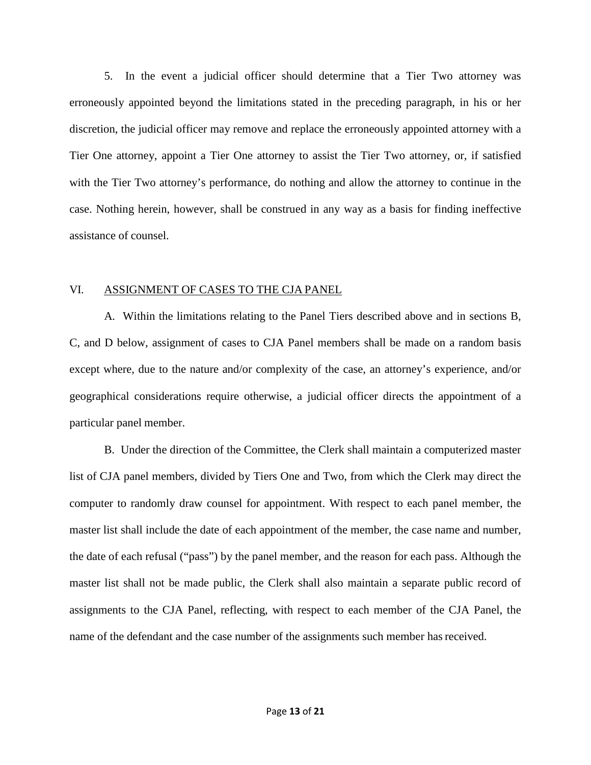5. In the event a judicial officer should determine that a Tier Two attorney was erroneously appointed beyond the limitations stated in the preceding paragraph, in his or her discretion, the judicial officer may remove and replace the erroneously appointed attorney with a Tier One attorney, appoint a Tier One attorney to assist the Tier Two attorney, or, if satisfied with the Tier Two attorney's performance, do nothing and allow the attorney to continue in the case. Nothing herein, however, shall be construed in any way as a basis for finding ineffective assistance of counsel.

#### VI. ASSIGNMENT OF CASES TO THE CJA PANEL

A. Within the limitations relating to the Panel Tiers described above and in sections B, C, and D below, assignment of cases to CJA Panel members shall be made on a random basis except where, due to the nature and/or complexity of the case, an attorney's experience, and/or geographical considerations require otherwise, a judicial officer directs the appointment of a particular panel member.

B. Under the direction of the Committee, the Clerk shall maintain a computerized master list of CJA panel members, divided by Tiers One and Two, from which the Clerk may direct the computer to randomly draw counsel for appointment. With respect to each panel member, the master list shall include the date of each appointment of the member, the case name and number, the date of each refusal ("pass") by the panel member, and the reason for each pass. Although the master list shall not be made public, the Clerk shall also maintain a separate public record of assignments to the CJA Panel, reflecting, with respect to each member of the CJA Panel, the name of the defendant and the case number of the assignments such member hasreceived.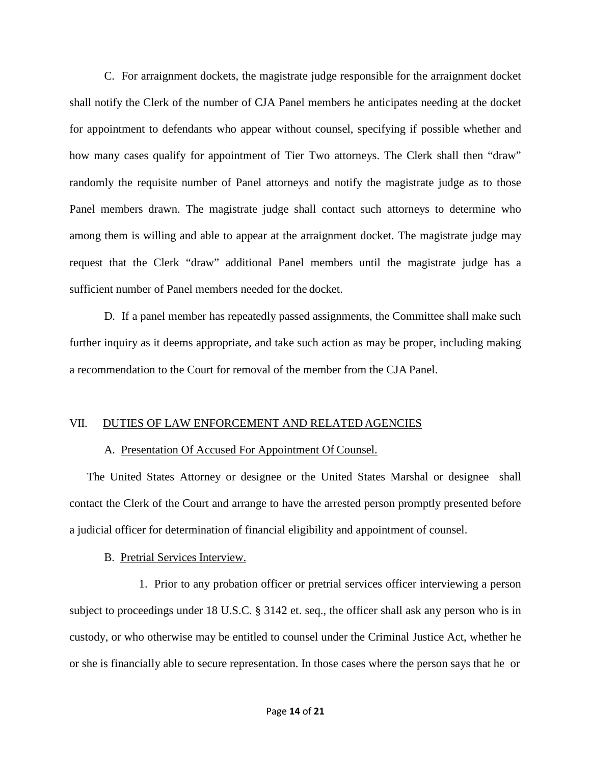C. For arraignment dockets, the magistrate judge responsible for the arraignment docket shall notify the Clerk of the number of CJA Panel members he anticipates needing at the docket for appointment to defendants who appear without counsel, specifying if possible whether and how many cases qualify for appointment of Tier Two attorneys. The Clerk shall then "draw" randomly the requisite number of Panel attorneys and notify the magistrate judge as to those Panel members drawn. The magistrate judge shall contact such attorneys to determine who among them is willing and able to appear at the arraignment docket. The magistrate judge may request that the Clerk "draw" additional Panel members until the magistrate judge has a sufficient number of Panel members needed for the docket.

D. If a panel member has repeatedly passed assignments, the Committee shall make such further inquiry as it deems appropriate, and take such action as may be proper, including making a recommendation to the Court for removal of the member from the CJA Panel.

#### VII. DUTIES OF LAW ENFORCEMENT AND RELATED AGENCIES

#### A. Presentation Of Accused For Appointment Of Counsel.

The United States Attorney or designee or the United States Marshal or designee shall contact the Clerk of the Court and arrange to have the arrested person promptly presented before a judicial officer for determination of financial eligibility and appointment of counsel.

#### B. Pretrial Services Interview.

1. Prior to any probation officer or pretrial services officer interviewing a person subject to proceedings under 18 U.S.C. § 3142 et. seq., the officer shall ask any person who is in custody, or who otherwise may be entitled to counsel under the Criminal Justice Act, whether he or she is financially able to secure representation. In those cases where the person says that he or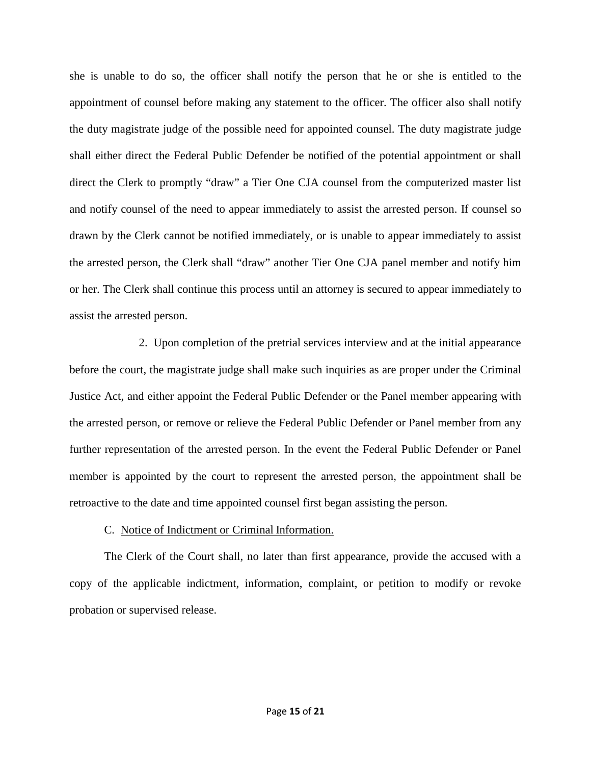she is unable to do so, the officer shall notify the person that he or she is entitled to the appointment of counsel before making any statement to the officer. The officer also shall notify the duty magistrate judge of the possible need for appointed counsel. The duty magistrate judge shall either direct the Federal Public Defender be notified of the potential appointment or shall direct the Clerk to promptly "draw" a Tier One CJA counsel from the computerized master list and notify counsel of the need to appear immediately to assist the arrested person. If counsel so drawn by the Clerk cannot be notified immediately, or is unable to appear immediately to assist the arrested person, the Clerk shall "draw" another Tier One CJA panel member and notify him or her. The Clerk shall continue this process until an attorney is secured to appear immediately to assist the arrested person.

2. Upon completion of the pretrial services interview and at the initial appearance before the court, the magistrate judge shall make such inquiries as are proper under the Criminal Justice Act, and either appoint the Federal Public Defender or the Panel member appearing with the arrested person, or remove or relieve the Federal Public Defender or Panel member from any further representation of the arrested person. In the event the Federal Public Defender or Panel member is appointed by the court to represent the arrested person, the appointment shall be retroactive to the date and time appointed counsel first began assisting the person.

## C. Notice of Indictment or Criminal Information.

The Clerk of the Court shall, no later than first appearance, provide the accused with a copy of the applicable indictment, information, complaint, or petition to modify or revoke probation or supervised release.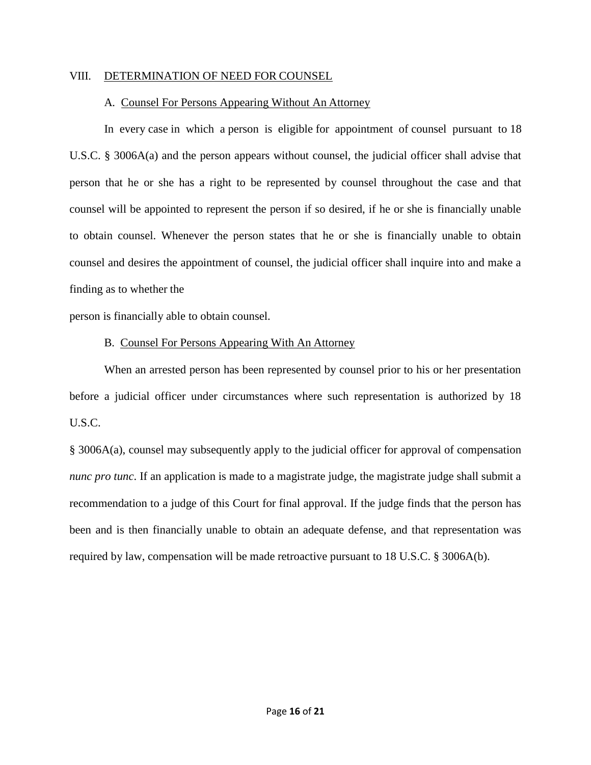### VIII. DETERMINATION OF NEED FOR COUNSEL

## A. Counsel For Persons Appearing Without An Attorney

In every case in which a person is eligible for appointment of counsel pursuant to 18 U.S.C. § 3006A(a) and the person appears without counsel, the judicial officer shall advise that person that he or she has a right to be represented by counsel throughout the case and that counsel will be appointed to represent the person if so desired, if he or she is financially unable to obtain counsel. Whenever the person states that he or she is financially unable to obtain counsel and desires the appointment of counsel, the judicial officer shall inquire into and make a finding as to whether the

person is financially able to obtain counsel.

## B. Counsel For Persons Appearing With An Attorney

When an arrested person has been represented by counsel prior to his or her presentation before a judicial officer under circumstances where such representation is authorized by 18 U.S.C.

§ 3006A(a), counsel may subsequently apply to the judicial officer for approval of compensation *nunc pro tunc*. If an application is made to a magistrate judge, the magistrate judge shall submit a recommendation to a judge of this Court for final approval. If the judge finds that the person has been and is then financially unable to obtain an adequate defense, and that representation was required by law, compensation will be made retroactive pursuant to 18 U.S.C. § 3006A(b).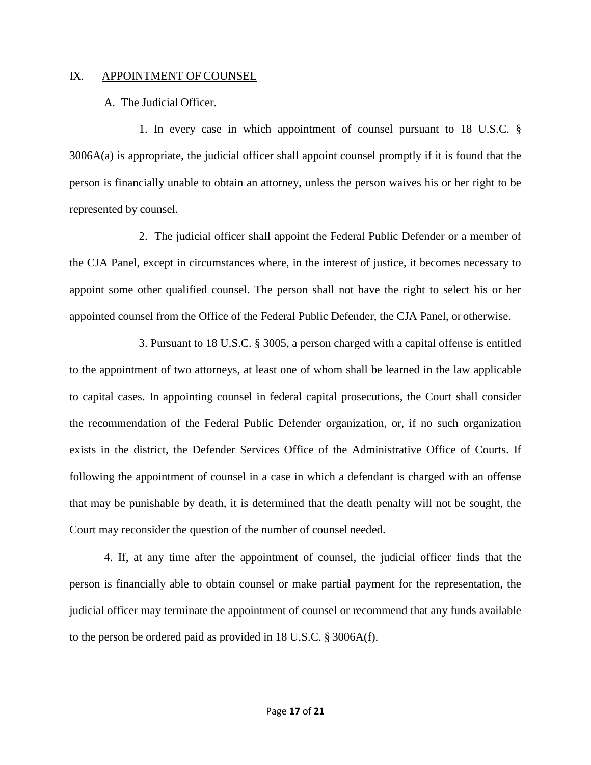### IX. APPOINTMENT OF COUNSEL

## A. The Judicial Officer.

1. In every case in which appointment of counsel pursuant to 18 U.S.C. § 3006A(a) is appropriate, the judicial officer shall appoint counsel promptly if it is found that the person is financially unable to obtain an attorney, unless the person waives his or her right to be represented by counsel.

2. The judicial officer shall appoint the Federal Public Defender or a member of the CJA Panel, except in circumstances where, in the interest of justice, it becomes necessary to appoint some other qualified counsel. The person shall not have the right to select his or her appointed counsel from the Office of the Federal Public Defender, the CJA Panel, or otherwise.

3. Pursuant to 18 U.S.C. § 3005, a person charged with a capital offense is entitled to the appointment of two attorneys, at least one of whom shall be learned in the law applicable to capital cases. In appointing counsel in federal capital prosecutions, the Court shall consider the recommendation of the Federal Public Defender organization, or, if no such organization exists in the district, the Defender Services Office of the Administrative Office of Courts. If following the appointment of counsel in a case in which a defendant is charged with an offense that may be punishable by death, it is determined that the death penalty will not be sought, the Court may reconsider the question of the number of counsel needed.

4. If, at any time after the appointment of counsel, the judicial officer finds that the person is financially able to obtain counsel or make partial payment for the representation, the judicial officer may terminate the appointment of counsel or recommend that any funds available to the person be ordered paid as provided in 18 U.S.C. § 3006A(f).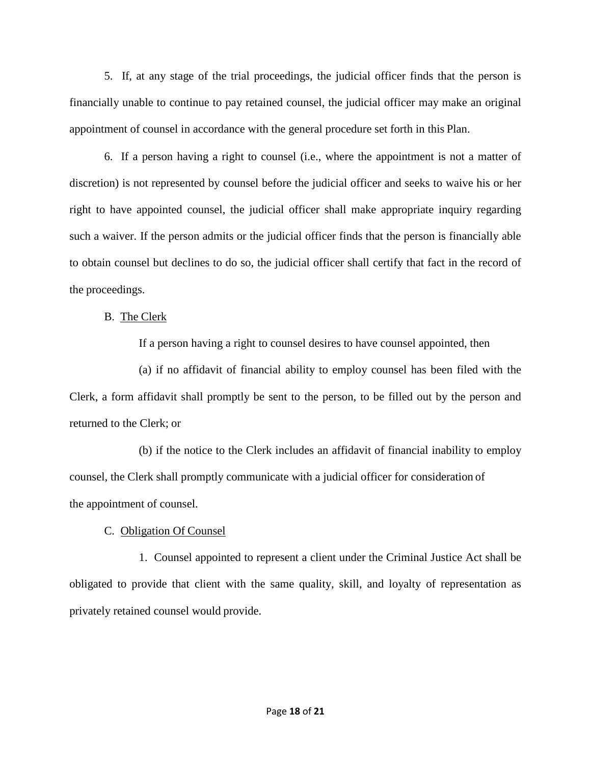5. If, at any stage of the trial proceedings, the judicial officer finds that the person is financially unable to continue to pay retained counsel, the judicial officer may make an original appointment of counsel in accordance with the general procedure set forth in this Plan.

6. If a person having a right to counsel (i.e., where the appointment is not a matter of discretion) is not represented by counsel before the judicial officer and seeks to waive his or her right to have appointed counsel, the judicial officer shall make appropriate inquiry regarding such a waiver. If the person admits or the judicial officer finds that the person is financially able to obtain counsel but declines to do so, the judicial officer shall certify that fact in the record of the proceedings.

B. The Clerk

If a person having a right to counsel desires to have counsel appointed, then

(a) if no affidavit of financial ability to employ counsel has been filed with the Clerk, a form affidavit shall promptly be sent to the person, to be filled out by the person and returned to the Clerk; or

(b) if the notice to the Clerk includes an affidavit of financial inability to employ counsel, the Clerk shall promptly communicate with a judicial officer for consideration of the appointment of counsel.

# C. Obligation Of Counsel

1. Counsel appointed to represent a client under the Criminal Justice Act shall be obligated to provide that client with the same quality, skill, and loyalty of representation as privately retained counsel would provide.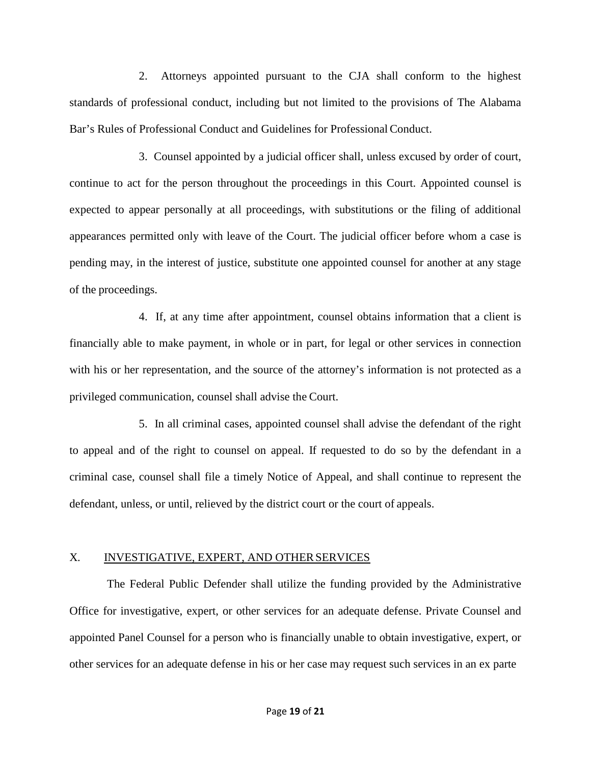2. Attorneys appointed pursuant to the CJA shall conform to the highest standards of professional conduct, including but not limited to the provisions of The Alabama Bar's Rules of Professional Conduct and Guidelines for Professional Conduct.

3. Counsel appointed by a judicial officer shall, unless excused by order of court, continue to act for the person throughout the proceedings in this Court. Appointed counsel is expected to appear personally at all proceedings, with substitutions or the filing of additional appearances permitted only with leave of the Court. The judicial officer before whom a case is pending may, in the interest of justice, substitute one appointed counsel for another at any stage of the proceedings.

4. If, at any time after appointment, counsel obtains information that a client is financially able to make payment, in whole or in part, for legal or other services in connection with his or her representation, and the source of the attorney's information is not protected as a privileged communication, counsel shall advise the Court.

5. In all criminal cases, appointed counsel shall advise the defendant of the right to appeal and of the right to counsel on appeal. If requested to do so by the defendant in a criminal case, counsel shall file a timely Notice of Appeal, and shall continue to represent the defendant, unless, or until, relieved by the district court or the court of appeals.

## X. INVESTIGATIVE, EXPERT, AND OTHER SERVICES

The Federal Public Defender shall utilize the funding provided by the Administrative Office for investigative, expert, or other services for an adequate defense. Private Counsel and appointed Panel Counsel for a person who is financially unable to obtain investigative, expert, or other services for an adequate defense in his or her case may request such services in an ex parte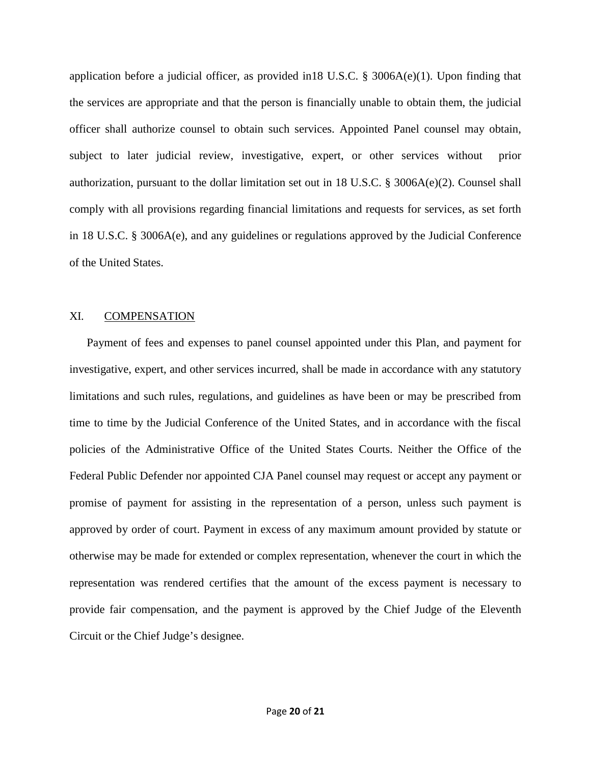application before a judicial officer, as provided in18 U.S.C. § 3006A(e)(1). Upon finding that the services are appropriate and that the person is financially unable to obtain them, the judicial officer shall authorize counsel to obtain such services. Appointed Panel counsel may obtain, subject to later judicial review, investigative, expert, or other services without prior authorization, pursuant to the dollar limitation set out in 18 U.S.C. § 3006A(e)(2). Counsel shall comply with all provisions regarding financial limitations and requests for services, as set forth in 18 U.S.C. § 3006A(e), and any guidelines or regulations approved by the Judicial Conference of the United States.

## XI. COMPENSATION

Payment of fees and expenses to panel counsel appointed under this Plan, and payment for investigative, expert, and other services incurred, shall be made in accordance with any statutory limitations and such rules, regulations, and guidelines as have been or may be prescribed from time to time by the Judicial Conference of the United States, and in accordance with the fiscal policies of the Administrative Office of the United States Courts. Neither the Office of the Federal Public Defender nor appointed CJA Panel counsel may request or accept any payment or promise of payment for assisting in the representation of a person, unless such payment is approved by order of court. Payment in excess of any maximum amount provided by statute or otherwise may be made for extended or complex representation, whenever the court in which the representation was rendered certifies that the amount of the excess payment is necessary to provide fair compensation, and the payment is approved by the Chief Judge of the Eleventh Circuit or the Chief Judge's designee.